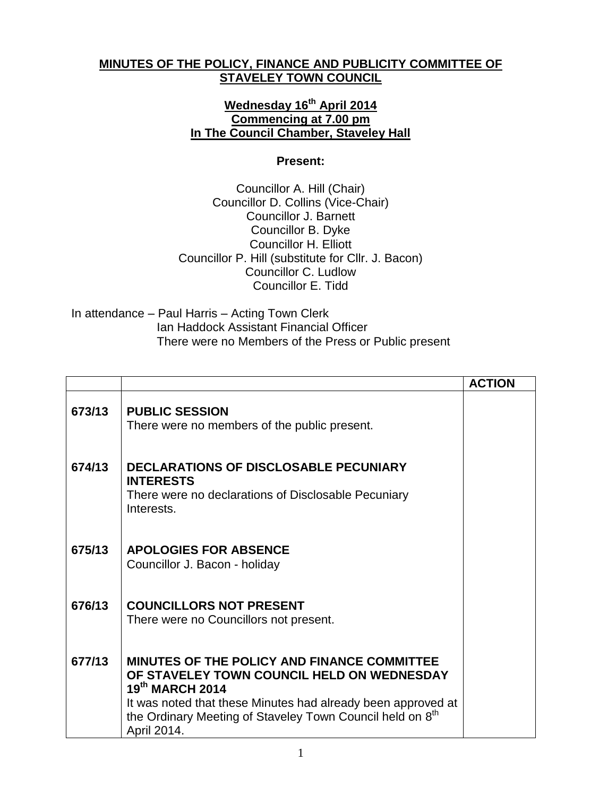## **MINUTES OF THE POLICY, FINANCE AND PUBLICITY COMMITTEE OF STAVELEY TOWN COUNCIL**

## **Wednesday 16 th April 2014 Commencing at 7.00 pm In The Council Chamber, Staveley Hall**

## **Present:**

Councillor A. Hill (Chair) Councillor D. Collins (Vice-Chair) Councillor J. Barnett Councillor B. Dyke Councillor H. Elliott Councillor P. Hill (substitute for Cllr. J. Bacon) Councillor C. Ludlow Councillor E. Tidd

In attendance – Paul Harris – Acting Town Clerk Ian Haddock Assistant Financial Officer There were no Members of the Press or Public present

|        |                                                                                                                                                                                                                                                                             | <b>ACTION</b> |
|--------|-----------------------------------------------------------------------------------------------------------------------------------------------------------------------------------------------------------------------------------------------------------------------------|---------------|
| 673/13 | <b>PUBLIC SESSION</b><br>There were no members of the public present.                                                                                                                                                                                                       |               |
| 674/13 | <b>DECLARATIONS OF DISCLOSABLE PECUNIARY</b><br><b>INTERESTS</b><br>There were no declarations of Disclosable Pecuniary<br>Interests.                                                                                                                                       |               |
| 675/13 | <b>APOLOGIES FOR ABSENCE</b><br>Councillor J. Bacon - holiday                                                                                                                                                                                                               |               |
| 676/13 | <b>COUNCILLORS NOT PRESENT</b><br>There were no Councillors not present.                                                                                                                                                                                                    |               |
| 677/13 | <b>MINUTES OF THE POLICY AND FINANCE COMMITTEE</b><br>OF STAVELEY TOWN COUNCIL HELD ON WEDNESDAY<br>19th MARCH 2014<br>It was noted that these Minutes had already been approved at<br>the Ordinary Meeting of Staveley Town Council held on 8 <sup>th</sup><br>April 2014. |               |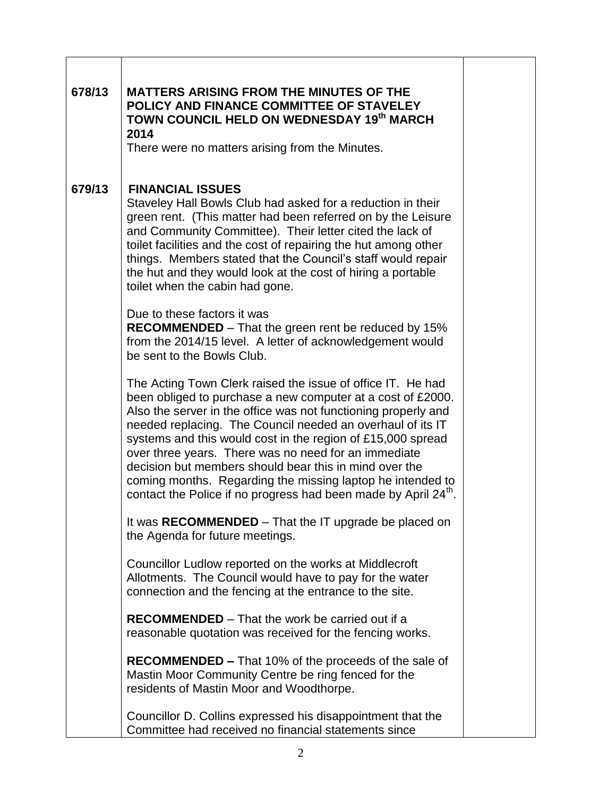| 678/13 | <b>MATTERS ARISING FROM THE MINUTES OF THE</b><br>POLICY AND FINANCE COMMITTEE OF STAVELEY<br>TOWN COUNCIL HELD ON WEDNESDAY 19th MARCH<br>2014<br>There were no matters arising from the Minutes.                                                                                                                                                                                                                                                                                                                                                                                       |  |
|--------|------------------------------------------------------------------------------------------------------------------------------------------------------------------------------------------------------------------------------------------------------------------------------------------------------------------------------------------------------------------------------------------------------------------------------------------------------------------------------------------------------------------------------------------------------------------------------------------|--|
| 679/13 | <b>FINANCIAL ISSUES</b><br>Staveley Hall Bowls Club had asked for a reduction in their<br>green rent. (This matter had been referred on by the Leisure<br>and Community Committee). Their letter cited the lack of<br>toilet facilities and the cost of repairing the hut among other<br>things. Members stated that the Council's staff would repair<br>the hut and they would look at the cost of hiring a portable<br>toilet when the cabin had gone.                                                                                                                                 |  |
|        | Due to these factors it was<br><b>RECOMMENDED</b> – That the green rent be reduced by 15%<br>from the 2014/15 level. A letter of acknowledgement would<br>be sent to the Bowls Club.                                                                                                                                                                                                                                                                                                                                                                                                     |  |
|        | The Acting Town Clerk raised the issue of office IT. He had<br>been obliged to purchase a new computer at a cost of £2000.<br>Also the server in the office was not functioning properly and<br>needed replacing. The Council needed an overhaul of its IT<br>systems and this would cost in the region of £15,000 spread<br>over three years. There was no need for an immediate<br>decision but members should bear this in mind over the<br>coming months. Regarding the missing laptop he intended to<br>contact the Police if no progress had been made by April 24 <sup>th</sup> . |  |
|        | It was RECOMMENDED – That the IT upgrade be placed on<br>the Agenda for future meetings.                                                                                                                                                                                                                                                                                                                                                                                                                                                                                                 |  |
|        | Councillor Ludlow reported on the works at Middlecroft<br>Allotments. The Council would have to pay for the water<br>connection and the fencing at the entrance to the site.                                                                                                                                                                                                                                                                                                                                                                                                             |  |
|        | <b>RECOMMENDED</b> – That the work be carried out if a<br>reasonable quotation was received for the fencing works.                                                                                                                                                                                                                                                                                                                                                                                                                                                                       |  |
|        | <b>RECOMMENDED – That 10% of the proceeds of the sale of</b><br>Mastin Moor Community Centre be ring fenced for the<br>residents of Mastin Moor and Woodthorpe.                                                                                                                                                                                                                                                                                                                                                                                                                          |  |
|        | Councillor D. Collins expressed his disappointment that the<br>Committee had received no financial statements since                                                                                                                                                                                                                                                                                                                                                                                                                                                                      |  |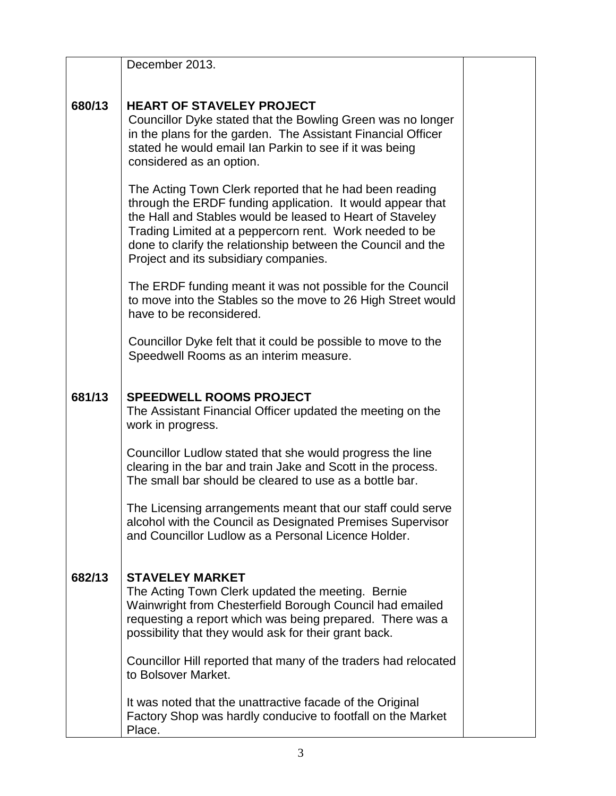|        | December 2013.                                                                                                                                                                                                                                                                                                                                         |  |
|--------|--------------------------------------------------------------------------------------------------------------------------------------------------------------------------------------------------------------------------------------------------------------------------------------------------------------------------------------------------------|--|
| 680/13 | <b>HEART OF STAVELEY PROJECT</b><br>Councillor Dyke stated that the Bowling Green was no longer<br>in the plans for the garden. The Assistant Financial Officer<br>stated he would email lan Parkin to see if it was being<br>considered as an option.                                                                                                 |  |
|        | The Acting Town Clerk reported that he had been reading<br>through the ERDF funding application. It would appear that<br>the Hall and Stables would be leased to Heart of Staveley<br>Trading Limited at a peppercorn rent. Work needed to be<br>done to clarify the relationship between the Council and the<br>Project and its subsidiary companies. |  |
|        | The ERDF funding meant it was not possible for the Council<br>to move into the Stables so the move to 26 High Street would<br>have to be reconsidered.                                                                                                                                                                                                 |  |
|        | Councillor Dyke felt that it could be possible to move to the<br>Speedwell Rooms as an interim measure.                                                                                                                                                                                                                                                |  |
| 681/13 | <b>SPEEDWELL ROOMS PROJECT</b><br>The Assistant Financial Officer updated the meeting on the<br>work in progress.                                                                                                                                                                                                                                      |  |
|        | Councillor Ludlow stated that she would progress the line<br>clearing in the bar and train Jake and Scott in the process.<br>The small bar should be cleared to use as a bottle bar.                                                                                                                                                                   |  |
|        | The Licensing arrangements meant that our staff could serve<br>alcohol with the Council as Designated Premises Supervisor<br>and Councillor Ludlow as a Personal Licence Holder.                                                                                                                                                                       |  |
| 682/13 | <b>STAVELEY MARKET</b><br>The Acting Town Clerk updated the meeting. Bernie<br>Wainwright from Chesterfield Borough Council had emailed<br>requesting a report which was being prepared. There was a<br>possibility that they would ask for their grant back.                                                                                          |  |
|        | Councillor Hill reported that many of the traders had relocated<br>to Bolsover Market.                                                                                                                                                                                                                                                                 |  |
|        | It was noted that the unattractive facade of the Original<br>Factory Shop was hardly conducive to footfall on the Market<br>Place.                                                                                                                                                                                                                     |  |